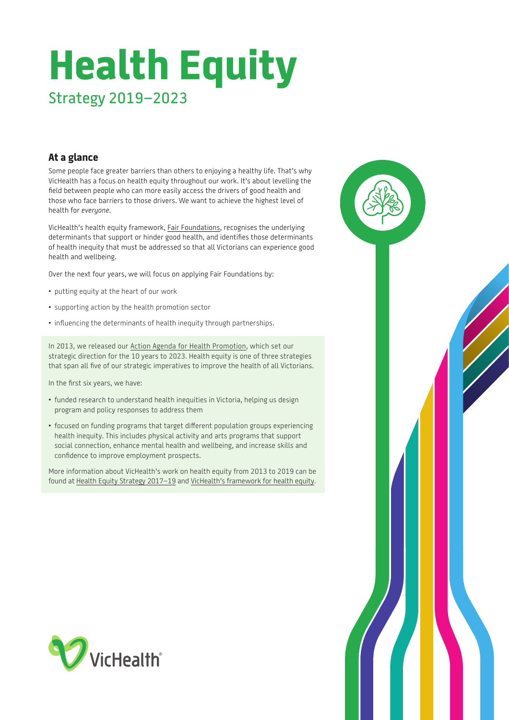# **Health Equity** Strategy 2019–2023

# **At a glance**

Some people face greater barriers than others to enjoying a healthy life. That's why VicHealth has a focus on health equity throughout our work. It's about levelling the field between people who can more easily access the drivers of good health and those who face barriers to those drivers. We want to achieve the highest level of health for *everyone*.

VicHealth's health equity framework, [Fair Foundations](https://www.vichealth.vic.gov.au/media-and-resources/publications/the-vichealth-framework-for-health-equity), recognises the underlying determinants that support or hinder good health, and identifies those determinants of health inequity that must be addressed so that all Victorians can experience good health and wellbeing.

Over the next four years, we will focus on applying Fair Foundations by:

- putting equity at the heart of our work
- supporting action by the health promotion sector
- influencing the determinants of health inequity through partnerships.

In 2013, we released our [Action Agenda for Health Promotion,](https://www.vichealth.vic.gov.au/media-and-resources/publications/action-agenda-for-health-promotion) which set our strategic direction for the 10 years to 2023. Health equity is one of three strategies that span all five of our strategic imperatives to improve the health of all Victorians.

In the first six years, we have:

- funded research to understand health inequities in Victoria, helping us design program and policy responses to address them
- focused on funding programs that target different population groups experiencing health inequity. This includes physical activity and arts programs that support social connection, enhance mental health and wellbeing, and increase skills and confidence to improve employment prospects.

More information about VicHealth's work on health equity from 2013 to 2019 can be found at [Health Equity Strategy 2017–19](https://www.vichealth.vic.gov.au/media-and-resources/publications/vichealth-health-equity-strategy) and [VicHealth's framework for health equity](https://www.vichealth.vic.gov.au/media-and-resources/publications/the-vichealth-framework-for-health-equity).



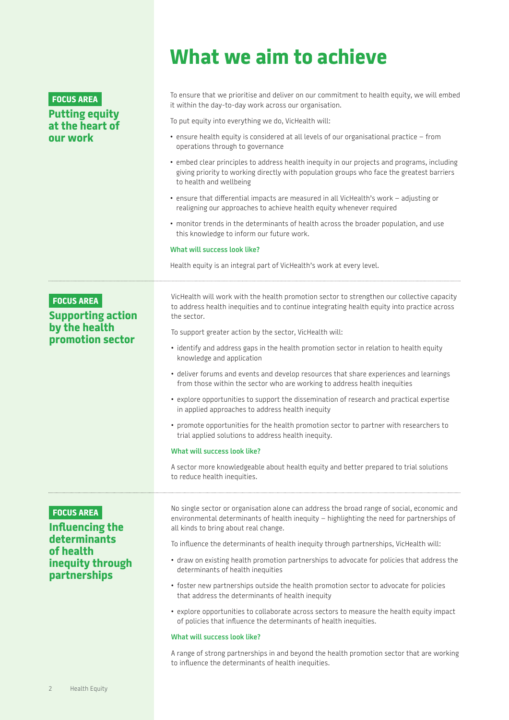# **FOCUS AREA Putting equity at the heart of our work**

# **What we aim to achieve**

To ensure that we prioritise and deliver on our commitment to health equity, we will embed it within the day-to-day work across our organisation.

To put equity into everything we do, VicHealth will:

- ensure health equity is considered at all levels of our organisational practice from operations through to governance
- embed clear principles to address health inequity in our projects and programs, including giving priority to working directly with population groups who face the greatest barriers to health and wellbeing
- ensure that differential impacts are measured in all VicHealth's work adjusting or realigning our approaches to achieve health equity whenever required
- monitor trends in the determinants of health across the broader population, and use this knowledge to inform our future work.

### **What will success look like?**

Health equity is an integral part of VicHealth's work at every level.

# **FOCUS AREA**

# **Supporting action by the health promotion sector**

VicHealth will work with the health promotion sector to strengthen our collective capacity to address health inequities and to continue integrating health equity into practice across the sector.

To support greater action by the sector, VicHealth will:

- identify and address gaps in the health promotion sector in relation to health equity knowledge and application
- deliver forums and events and develop resources that share experiences and learnings from those within the sector who are working to address health inequities
- explore opportunities to support the dissemination of research and practical expertise in applied approaches to address health inequity
- promote opportunities for the health promotion sector to partner with researchers to trial applied solutions to address health inequity.

### **What will success look like?**

A sector more knowledgeable about health equity and better prepared to trial solutions to reduce health inequities.

# **FOCUS AREA**

# **Influencing the determinants of health inequity through partnerships**

No single sector or organisation alone can address the broad range of social, economic and environmental determinants of health inequity – highlighting the need for partnerships of all kinds to bring about real change.

To influence the determinants of health inequity through partnerships, VicHealth will:

- draw on existing health promotion partnerships to advocate for policies that address the determinants of health inequities
- foster new partnerships outside the health promotion sector to advocate for policies that address the determinants of health inequity
- explore opportunities to collaborate across sectors to measure the health equity impact of policies that influence the determinants of health inequities.

## **What will success look like?**

A range of strong partnerships in and beyond the health promotion sector that are working to influence the determinants of health inequities.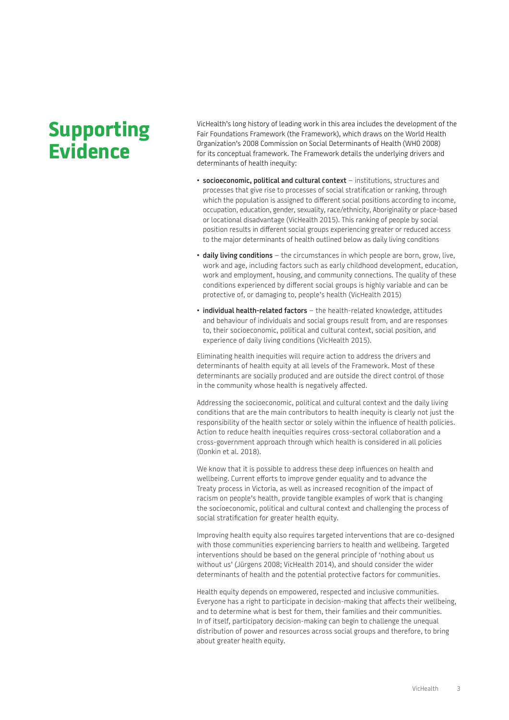# **Supporting Evidence**

VicHealth's long history of leading work in this area includes the development of the Fair Foundations Framework (the Framework), which draws on the World Health Organization's 2008 Commission on Social Determinants of Health (WHO 2008) for its conceptual framework. The Framework details the underlying drivers and determinants of health inequity:

- **socioeconomic, political and cultural context** institutions, structures and processes that give rise to processes of social stratification or ranking, through which the population is assigned to different social positions according to income, occupation, education, gender, sexuality, race/ethnicity, Aboriginality or place-based or locational disadvantage (VicHealth 2015). This ranking of people by social position results in different social groups experiencing greater or reduced access to the major determinants of health outlined below as daily living conditions
- **daily living conditions** the circumstances in which people are born, grow, live, work and age, including factors such as early childhood development, education, work and employment, housing, and community connections. The quality of these conditions experienced by different social groups is highly variable and can be protective of, or damaging to, people's health (VicHealth 2015)
- **individual health-related factors** the health-related knowledge, attitudes and behaviour of individuals and social groups result from, and are responses to, their socioeconomic, political and cultural context, social position, and experience of daily living conditions (VicHealth 2015).

Eliminating health inequities will require action to address the drivers and determinants of health equity at all levels of the Framework. Most of these determinants are socially produced and are outside the direct control of those in the community whose health is negatively affected.

Addressing the socioeconomic, political and cultural context and the daily living conditions that are the main contributors to health inequity is clearly not just the responsibility of the health sector or solely within the influence of health policies. Action to reduce health inequities requires cross-sectoral collaboration and a cross-government approach through which health is considered in all policies (Donkin et al. 2018).

We know that it is possible to address these deep influences on health and wellbeing. Current efforts to improve gender equality and to advance the Treaty process in Victoria, as well as increased recognition of the impact of racism on people's health, provide tangible examples of work that is changing the socioeconomic, political and cultural context and challenging the process of social stratification for greater health equity.

Improving health equity also requires targeted interventions that are co-designed with those communities experiencing barriers to health and wellbeing. Targeted interventions should be based on the general principle of 'nothing about us without us' (Jürgens 2008; VicHealth 2014), and should consider the wider determinants of health and the potential protective factors for communities.

Health equity depends on empowered, respected and inclusive communities. Everyone has a right to participate in decision-making that affects their wellbeing, and to determine what is best for them, their families and their communities. In of itself, participatory decision-making can begin to challenge the unequal distribution of power and resources across social groups and therefore, to bring about greater health equity.